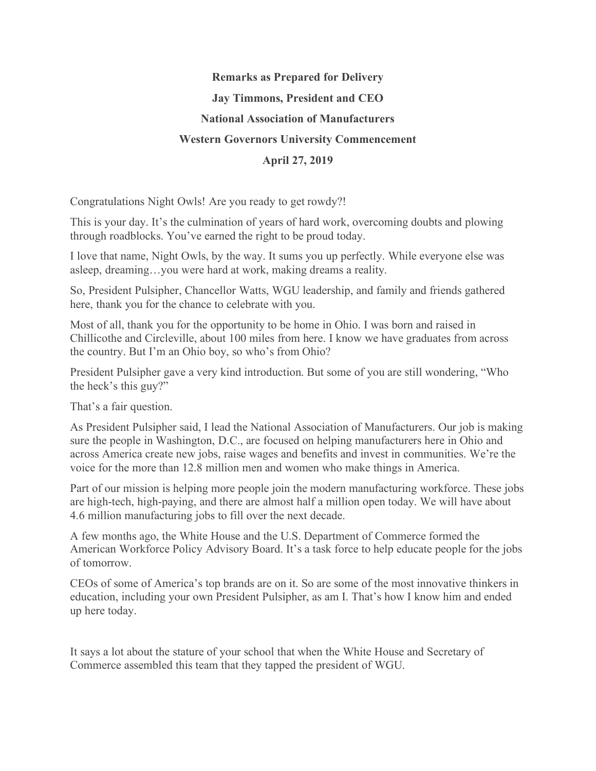## **Remarks as Prepared for Delivery Jay Timmons, President and CEO National Association of Manufacturers Western Governors University Commencement April 27, 2019**

Congratulations Night Owls! Are you ready to get rowdy?!

This is your day. It's the culmination of years of hard work, overcoming doubts and plowing through roadblocks. You've earned the right to be proud today.

I love that name, Night Owls, by the way. It sums you up perfectly. While everyone else was asleep, dreaming…you were hard at work, making dreams a reality.

So, President Pulsipher, Chancellor Watts, WGU leadership, and family and friends gathered here, thank you for the chance to celebrate with you.

Most of all, thank you for the opportunity to be home in Ohio. I was born and raised in Chillicothe and Circleville, about 100 miles from here. I know we have graduates from across the country. But I'm an Ohio boy, so who's from Ohio?

President Pulsipher gave a very kind introduction. But some of you are still wondering, "Who the heck's this guy?"

That's a fair question.

As President Pulsipher said, I lead the National Association of Manufacturers. Our job is making sure the people in Washington, D.C., are focused on helping manufacturers here in Ohio and across America create new jobs, raise wages and benefits and invest in communities. We're the voice for the more than 12.8 million men and women who make things in America.

Part of our mission is helping more people join the modern manufacturing workforce. These jobs are high-tech, high-paying, and there are almost half a million open today. We will have about 4.6 million manufacturing jobs to fill over the next decade.

A few months ago, the White House and the U.S. Department of Commerce formed the American Workforce Policy Advisory Board. It's a task force to help educate people for the jobs of tomorrow.

CEOs of some of America's top brands are on it. So are some of the most innovative thinkers in education, including your own President Pulsipher, as am I. That's how I know him and ended up here today.

It says a lot about the stature of your school that when the White House and Secretary of Commerce assembled this team that they tapped the president of WGU.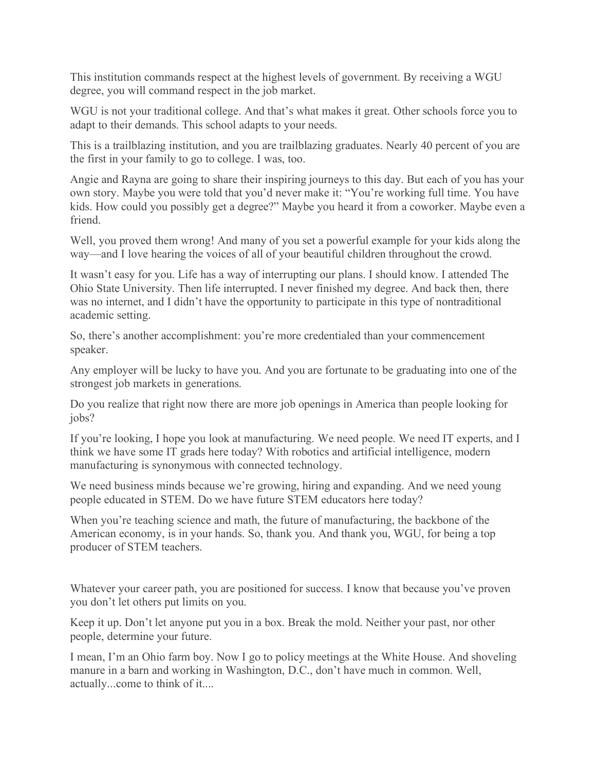This institution commands respect at the highest levels of government. By receiving a WGU degree, you will command respect in the job market.

WGU is not your traditional college. And that's what makes it great. Other schools force you to adapt to their demands. This school adapts to your needs.

This is a trailblazing institution, and you are trailblazing graduates. Nearly 40 percent of you are the first in your family to go to college. I was, too.

Angie and Rayna are going to share their inspiring journeys to this day. But each of you has your own story. Maybe you were told that you'd never make it: "You're working full time. You have kids. How could you possibly get a degree?" Maybe you heard it from a coworker. Maybe even a friend.

Well, you proved them wrong! And many of you set a powerful example for your kids along the way—and I love hearing the voices of all of your beautiful children throughout the crowd.

It wasn't easy for you. Life has a way of interrupting our plans. I should know. I attended The Ohio State University. Then life interrupted. I never finished my degree. And back then, there was no internet, and I didn't have the opportunity to participate in this type of nontraditional academic setting.

So, there's another accomplishment: you're more credentialed than your commencement speaker.

Any employer will be lucky to have you. And you are fortunate to be graduating into one of the strongest job markets in generations.

Do you realize that right now there are more job openings in America than people looking for jobs?

If you're looking, I hope you look at manufacturing. We need people. We need IT experts, and I think we have some IT grads here today? With robotics and artificial intelligence, modern manufacturing is synonymous with connected technology.

We need business minds because we're growing, hiring and expanding. And we need young people educated in STEM. Do we have future STEM educators here today?

When you're teaching science and math, the future of manufacturing, the backbone of the American economy, is in your hands. So, thank you. And thank you, WGU, for being a top producer of STEM teachers.

Whatever your career path, you are positioned for success. I know that because you've proven you don't let others put limits on you.

Keep it up. Don't let anyone put you in a box. Break the mold. Neither your past, nor other people, determine your future.

I mean, I'm an Ohio farm boy. Now I go to policy meetings at the White House. And shoveling manure in a barn and working in Washington, D.C., don't have much in common. Well, actually...come to think of it....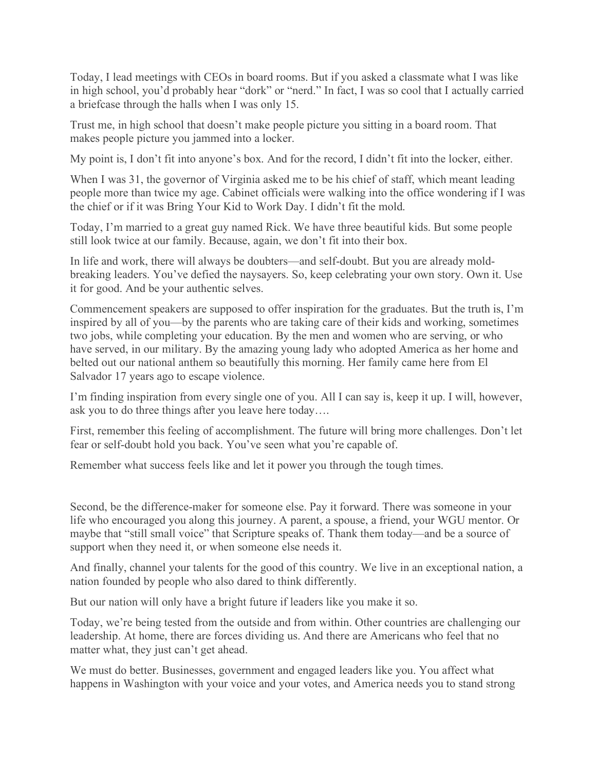Today, I lead meetings with CEOs in board rooms. But if you asked a classmate what I was like in high school, you'd probably hear "dork" or "nerd." In fact, I was so cool that I actually carried a briefcase through the halls when I was only 15.

Trust me, in high school that doesn't make people picture you sitting in a board room. That makes people picture you jammed into a locker.

My point is, I don't fit into anyone's box. And for the record, I didn't fit into the locker, either.

When I was 31, the governor of Virginia asked me to be his chief of staff, which meant leading people more than twice my age. Cabinet officials were walking into the office wondering if I was the chief or if it was Bring Your Kid to Work Day. I didn't fit the mold.

Today, I'm married to a great guy named Rick. We have three beautiful kids. But some people still look twice at our family. Because, again, we don't fit into their box.

In life and work, there will always be doubters—and self-doubt. But you are already moldbreaking leaders. You've defied the naysayers. So, keep celebrating your own story. Own it. Use it for good. And be your authentic selves.

Commencement speakers are supposed to offer inspiration for the graduates. But the truth is, I'm inspired by all of you—by the parents who are taking care of their kids and working, sometimes two jobs, while completing your education. By the men and women who are serving, or who have served, in our military. By the amazing young lady who adopted America as her home and belted out our national anthem so beautifully this morning. Her family came here from El Salvador 17 years ago to escape violence.

I'm finding inspiration from every single one of you. All I can say is, keep it up. I will, however, ask you to do three things after you leave here today….

First, remember this feeling of accomplishment. The future will bring more challenges. Don't let fear or self-doubt hold you back. You've seen what you're capable of.

Remember what success feels like and let it power you through the tough times.

Second, be the difference-maker for someone else. Pay it forward. There was someone in your life who encouraged you along this journey. A parent, a spouse, a friend, your WGU mentor. Or maybe that "still small voice" that Scripture speaks of. Thank them today—and be a source of support when they need it, or when someone else needs it.

And finally, channel your talents for the good of this country. We live in an exceptional nation, a nation founded by people who also dared to think differently.

But our nation will only have a bright future if leaders like you make it so.

Today, we're being tested from the outside and from within. Other countries are challenging our leadership. At home, there are forces dividing us. And there are Americans who feel that no matter what, they just can't get ahead.

We must do better. Businesses, government and engaged leaders like you. You affect what happens in Washington with your voice and your votes, and America needs you to stand strong